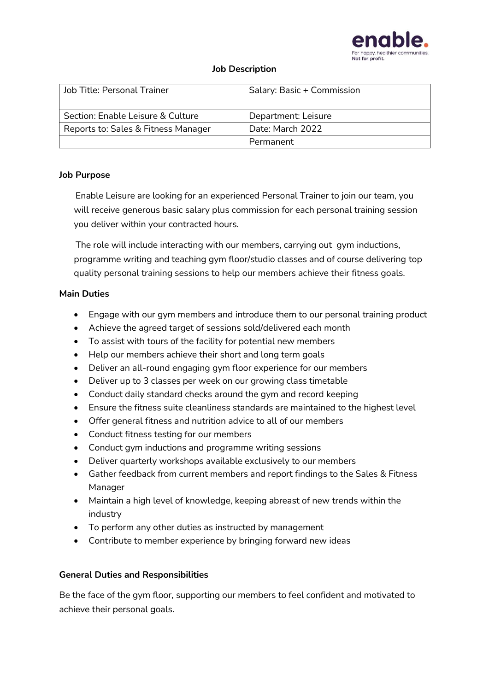

#### **Job Description**

| Job Title: Personal Trainer         | Salary: Basic + Commission |
|-------------------------------------|----------------------------|
| Section: Enable Leisure & Culture   | Department: Leisure        |
| Reports to: Sales & Fitness Manager | Date: March 2022           |
|                                     | Permanent                  |

#### **Job Purpose**

 Enable Leisure are looking for an experienced Personal Trainer to join our team, you will receive generous basic salary plus commission for each personal training session you deliver within your contracted hours.

 The role will include interacting with our members, carrying out gym inductions, programme writing and teaching gym floor/studio classes and of course delivering top quality personal training sessions to help our members achieve their fitness goals.

## **Main Duties**

- Engage with our gym members and introduce them to our personal training product
- Achieve the agreed target of sessions sold/delivered each month
- To assist with tours of the facility for potential new members
- Help our members achieve their short and long term goals
- Deliver an all-round engaging gym floor experience for our members
- Deliver up to 3 classes per week on our growing class timetable
- Conduct daily standard checks around the gym and record keeping
- Ensure the fitness suite cleanliness standards are maintained to the highest level
- Offer general fitness and nutrition advice to all of our members
- Conduct fitness testing for our members
- Conduct gym inductions and programme writing sessions
- Deliver quarterly workshops available exclusively to our members
- Gather feedback from current members and report findings to the Sales & Fitness Manager
- Maintain a high level of knowledge, keeping abreast of new trends within the industry
- To perform any other duties as instructed by management
- Contribute to member experience by bringing forward new ideas

## **General Duties and Responsibilities**

Be the face of the gym floor, supporting our members to feel confident and motivated to achieve their personal goals.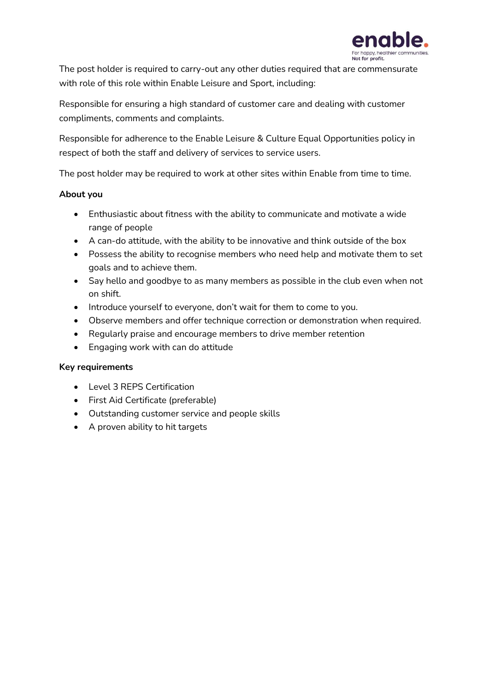

The post holder is required to carry-out any other duties required that are commensurate with role of this role within Enable Leisure and Sport, including:

Responsible for ensuring a high standard of customer care and dealing with customer compliments, comments and complaints.

Responsible for adherence to the Enable Leisure & Culture Equal Opportunities policy in respect of both the staff and delivery of services to service users.

The post holder may be required to work at other sites within Enable from time to time.

## **About you**

- Enthusiastic about fitness with the ability to communicate and motivate a wide range of people
- A can-do attitude, with the ability to be innovative and think outside of the box
- Possess the ability to recognise members who need help and motivate them to set goals and to achieve them.
- Say hello and goodbye to as many members as possible in the club even when not on shift.
- Introduce yourself to everyone, don't wait for them to come to you.
- Observe members and offer technique correction or demonstration when required.
- Regularly praise and encourage members to drive member retention
- Engaging work with can do attitude

## **Key requirements**

- Level 3 REPS Certification
- First Aid Certificate (preferable)
- Outstanding customer service and people skills
- A proven ability to hit targets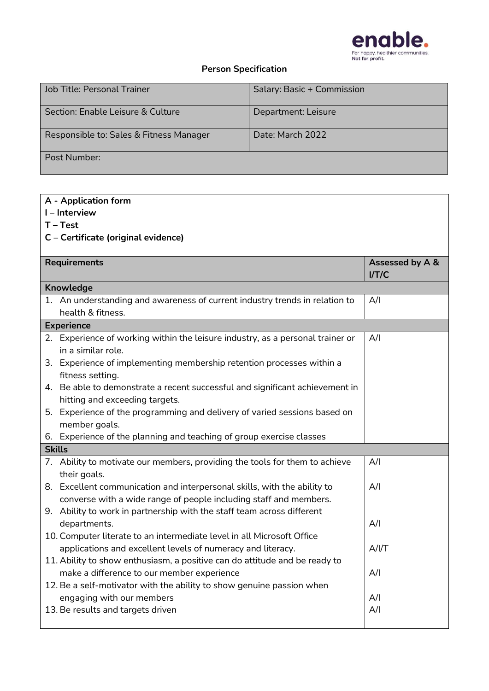

# **Person Specification**

| Job Title: Personal Trainer             | Salary: Basic + Commission |
|-----------------------------------------|----------------------------|
| Section: Enable Leisure & Culture       | Department: Leisure        |
| Responsible to: Sales & Fitness Manager | Date: March 2022           |
| Post Number:                            |                            |

# **A - Application form**

**I – Interview**

**T – Test**

**C – Certificate (original evidence)** 

| <b>Requirements</b> |                                                                                | Assessed by A &<br>I/T/C |  |  |
|---------------------|--------------------------------------------------------------------------------|--------------------------|--|--|
| Knowledge           |                                                                                |                          |  |  |
|                     | 1. An understanding and awareness of current industry trends in relation to    | A/I                      |  |  |
|                     | health & fitness.                                                              |                          |  |  |
| <b>Experience</b>   |                                                                                |                          |  |  |
|                     | 2. Experience of working within the leisure industry, as a personal trainer or | A/I                      |  |  |
|                     | in a similar role.                                                             |                          |  |  |
|                     | 3. Experience of implementing membership retention processes within a          |                          |  |  |
|                     | fitness setting.                                                               |                          |  |  |
|                     | 4. Be able to demonstrate a recent successful and significant achievement in   |                          |  |  |
|                     | hitting and exceeding targets.                                                 |                          |  |  |
|                     | 5. Experience of the programming and delivery of varied sessions based on      |                          |  |  |
|                     | member goals.                                                                  |                          |  |  |
|                     | 6. Experience of the planning and teaching of group exercise classes           |                          |  |  |
| <b>Skills</b>       |                                                                                |                          |  |  |
|                     | 7. Ability to motivate our members, providing the tools for them to achieve    | A/I                      |  |  |
|                     | their goals.                                                                   |                          |  |  |
|                     | 8. Excellent communication and interpersonal skills, with the ability to       | A/I                      |  |  |
|                     | converse with a wide range of people including staff and members.              |                          |  |  |
|                     | 9. Ability to work in partnership with the staff team across different         |                          |  |  |
|                     | departments.                                                                   | A/I                      |  |  |
|                     | 10. Computer literate to an intermediate level in all Microsoft Office         |                          |  |  |
|                     | applications and excellent levels of numeracy and literacy.                    | A/I/T                    |  |  |
|                     | 11. Ability to show enthusiasm, a positive can do attitude and be ready to     |                          |  |  |
|                     | make a difference to our member experience                                     | A/I                      |  |  |
|                     | 12. Be a self-motivator with the ability to show genuine passion when          |                          |  |  |
|                     | engaging with our members                                                      | A/I                      |  |  |
|                     | 13. Be results and targets driven                                              | A/I                      |  |  |
|                     |                                                                                |                          |  |  |